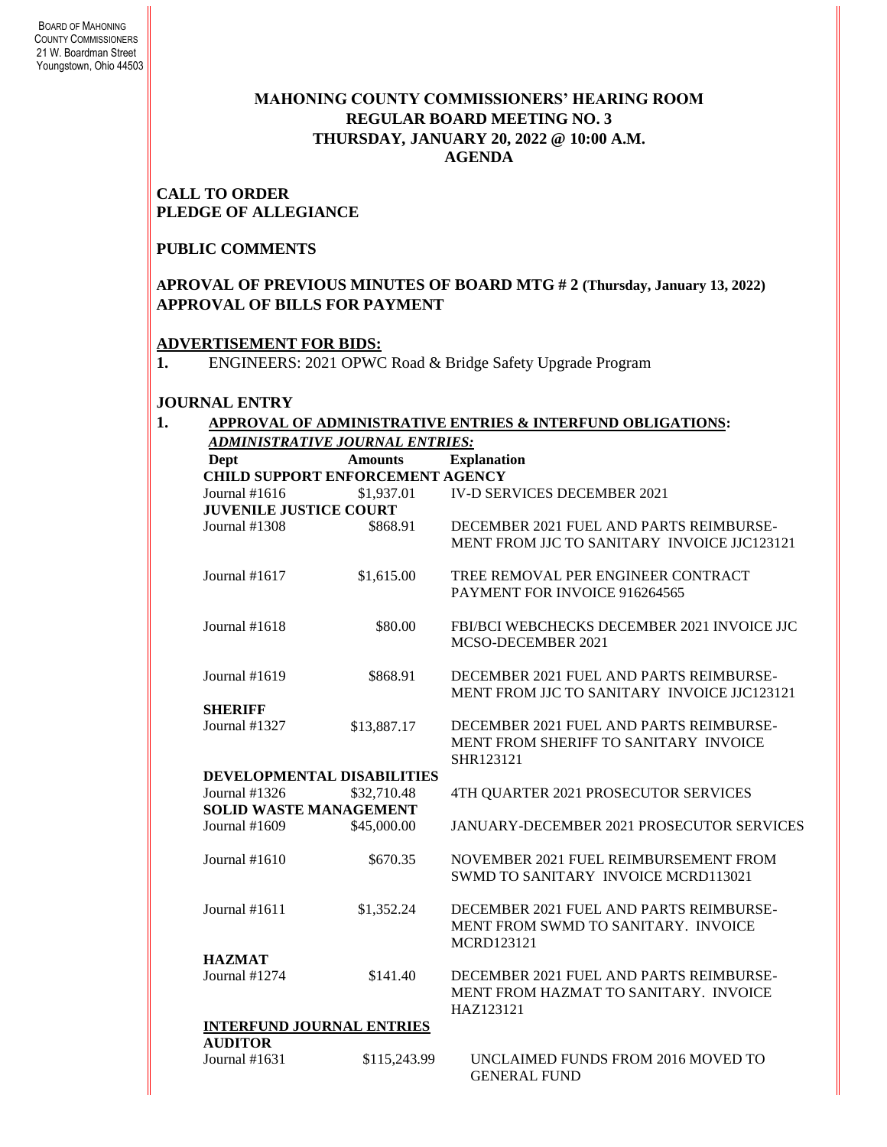## **MAHONING COUNTY COMMISSIONERS' HEARING ROOM REGULAR BOARD MEETING NO. 3 THURSDAY***,* **JANUARY 20, 2022 @ 10:00 A.M. AGENDA**

### **CALL TO ORDER PLEDGE OF ALLEGIANCE**

#### **PUBLIC COMMENTS**

## **APROVAL OF PREVIOUS MINUTES OF BOARD MTG # 2 (Thursday, January 13, 2022) APPROVAL OF BILLS FOR PAYMENT**

## **ADVERTISEMENT FOR BIDS:**

**1.** ENGINEERS: 2021 OPWC Road & Bridge Safety Upgrade Program

#### **JOURNAL ENTRY**

|                               | ADMINISTRATIVE JOURNAL ENTRIES:         | APPROVAL OF ADMINISTRATIVE ENTRIES & INTERFUND OBLIGATIONS: |
|-------------------------------|-----------------------------------------|-------------------------------------------------------------|
| Dept                          | <b>Amounts</b>                          | <b>Explanation</b>                                          |
|                               | <b>CHILD SUPPORT ENFORCEMENT AGENCY</b> |                                                             |
| Journal #1616                 | \$1,937.01                              | <b>IV-D SERVICES DECEMBER 2021</b>                          |
| <b>JUVENILE JUSTICE COURT</b> |                                         |                                                             |
| Journal #1308                 |                                         | DECEMBER 2021 FUEL AND PARTS REIMBURSE-                     |
|                               | \$868.91                                | MENT FROM JJC TO SANITARY INVOICE JJC123121                 |
| Journal #1617                 | \$1,615.00                              | TREE REMOVAL PER ENGINEER CONTRACT                          |
|                               |                                         | PAYMENT FOR INVOICE 916264565                               |
| Journal $#1618$               | \$80.00                                 | FBI/BCI WEBCHECKS DECEMBER 2021 INVOICE JJC                 |
|                               |                                         | MCSO-DECEMBER 2021                                          |
| Journal #1619                 | \$868.91                                | DECEMBER 2021 FUEL AND PARTS REIMBURSE-                     |
|                               |                                         | MENT FROM JJC TO SANITARY INVOICE JJC123121                 |
| <b>SHERIFF</b>                |                                         |                                                             |
| Journal #1327                 | \$13,887.17                             | DECEMBER 2021 FUEL AND PARTS REIMBURSE-                     |
|                               |                                         | MENT FROM SHERIFF TO SANITARY INVOICE<br>SHR123121          |
|                               | DEVELOPMENTAL DISABILITIES              |                                                             |
| Journal #1326                 | \$32,710.48                             | 4TH QUARTER 2021 PROSECUTOR SERVICES                        |
| <b>SOLID WASTE MANAGEMENT</b> |                                         |                                                             |
| Journal #1609                 | \$45,000.00                             | JANUARY-DECEMBER 2021 PROSECUTOR SERVICES                   |
| Journal #1610                 | \$670.35                                | NOVEMBER 2021 FUEL REIMBURSEMENT FROM                       |
|                               |                                         | SWMD TO SANITARY INVOICE MCRD113021                         |
| Journal $#1611$               | \$1,352.24                              | DECEMBER 2021 FUEL AND PARTS REIMBURSE-                     |
|                               |                                         | MENT FROM SWMD TO SANITARY. INVOICE                         |
|                               |                                         | <b>MCRD123121</b>                                           |
| <b>HAZMAT</b>                 |                                         |                                                             |
| Journal $#1274$               | \$141.40                                | DECEMBER 2021 FUEL AND PARTS REIMBURSE-                     |
|                               |                                         | MENT FROM HAZMAT TO SANITARY. INVOICE                       |
|                               |                                         | HAZ123121                                                   |
|                               | <b>INTERFUND JOURNAL ENTRIES</b>        |                                                             |
| <b>AUDITOR</b>                |                                         |                                                             |
| Journal #1631                 | \$115,243.99                            | UNCLAIMED FUNDS FROM 2016 MOVED TO<br><b>GENERAL FUND</b>   |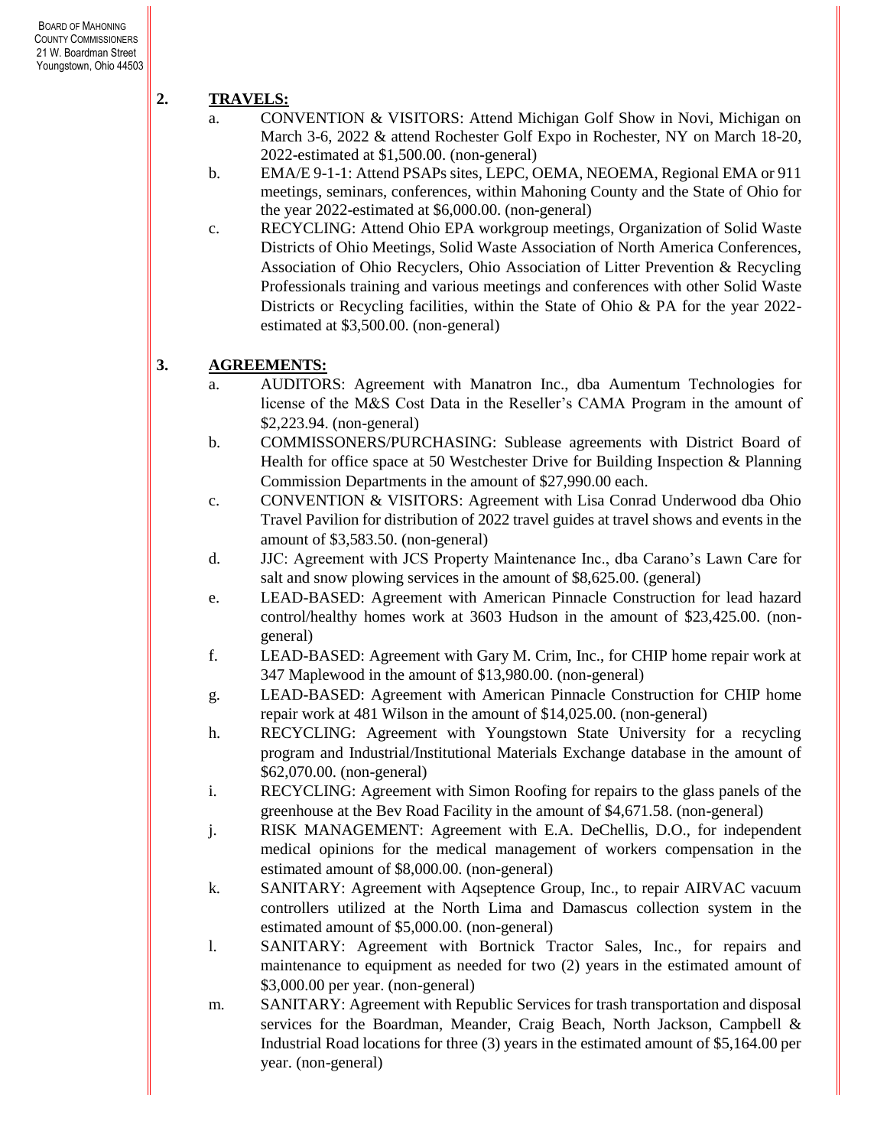# **2. TRAVELS:**

- a. CONVENTION & VISITORS: Attend Michigan Golf Show in Novi, Michigan on March 3-6, 2022 & attend Rochester Golf Expo in Rochester, NY on March 18-20, 2022-estimated at \$1,500.00. (non-general)
- b. EMA/E 9-1-1: Attend PSAPs sites, LEPC, OEMA, NEOEMA, Regional EMA or 911 meetings, seminars, conferences, within Mahoning County and the State of Ohio for the year 2022-estimated at \$6,000.00. (non-general)
- c. RECYCLING: Attend Ohio EPA workgroup meetings, Organization of Solid Waste Districts of Ohio Meetings, Solid Waste Association of North America Conferences, Association of Ohio Recyclers, Ohio Association of Litter Prevention & Recycling Professionals training and various meetings and conferences with other Solid Waste Districts or Recycling facilities, within the State of Ohio & PA for the year 2022 estimated at \$3,500.00. (non-general)

## **3. AGREEMENTS:**

- a. AUDITORS: Agreement with Manatron Inc., dba Aumentum Technologies for license of the M&S Cost Data in the Reseller's CAMA Program in the amount of \$2,223.94. (non-general)
- b. COMMISSONERS/PURCHASING: Sublease agreements with District Board of Health for office space at 50 Westchester Drive for Building Inspection & Planning Commission Departments in the amount of \$27,990.00 each.
- c. CONVENTION & VISITORS: Agreement with Lisa Conrad Underwood dba Ohio Travel Pavilion for distribution of 2022 travel guides at travel shows and events in the amount of \$3,583.50. (non-general)
- d. JJC: Agreement with JCS Property Maintenance Inc., dba Carano's Lawn Care for salt and snow plowing services in the amount of \$8,625.00. (general)
- e. LEAD-BASED: Agreement with American Pinnacle Construction for lead hazard control/healthy homes work at 3603 Hudson in the amount of \$23,425.00. (nongeneral)
- f. LEAD-BASED: Agreement with Gary M. Crim, Inc., for CHIP home repair work at 347 Maplewood in the amount of \$13,980.00. (non-general)
- g. LEAD-BASED: Agreement with American Pinnacle Construction for CHIP home repair work at 481 Wilson in the amount of \$14,025.00. (non-general)
- h. RECYCLING: Agreement with Youngstown State University for a recycling program and Industrial/Institutional Materials Exchange database in the amount of \$62,070.00. (non-general)
- i. RECYCLING: Agreement with Simon Roofing for repairs to the glass panels of the greenhouse at the Bev Road Facility in the amount of \$4,671.58. (non-general)
- j. RISK MANAGEMENT: Agreement with E.A. DeChellis, D.O., for independent medical opinions for the medical management of workers compensation in the estimated amount of \$8,000.00. (non-general)
- k. SANITARY: Agreement with Aqseptence Group, Inc., to repair AIRVAC vacuum controllers utilized at the North Lima and Damascus collection system in the estimated amount of \$5,000.00. (non-general)
- l. SANITARY: Agreement with Bortnick Tractor Sales, Inc., for repairs and maintenance to equipment as needed for two (2) years in the estimated amount of \$3,000.00 per year. (non-general)
- m. SANITARY: Agreement with Republic Services for trash transportation and disposal services for the Boardman, Meander, Craig Beach, North Jackson, Campbell & Industrial Road locations for three (3) years in the estimated amount of \$5,164.00 per year. (non-general)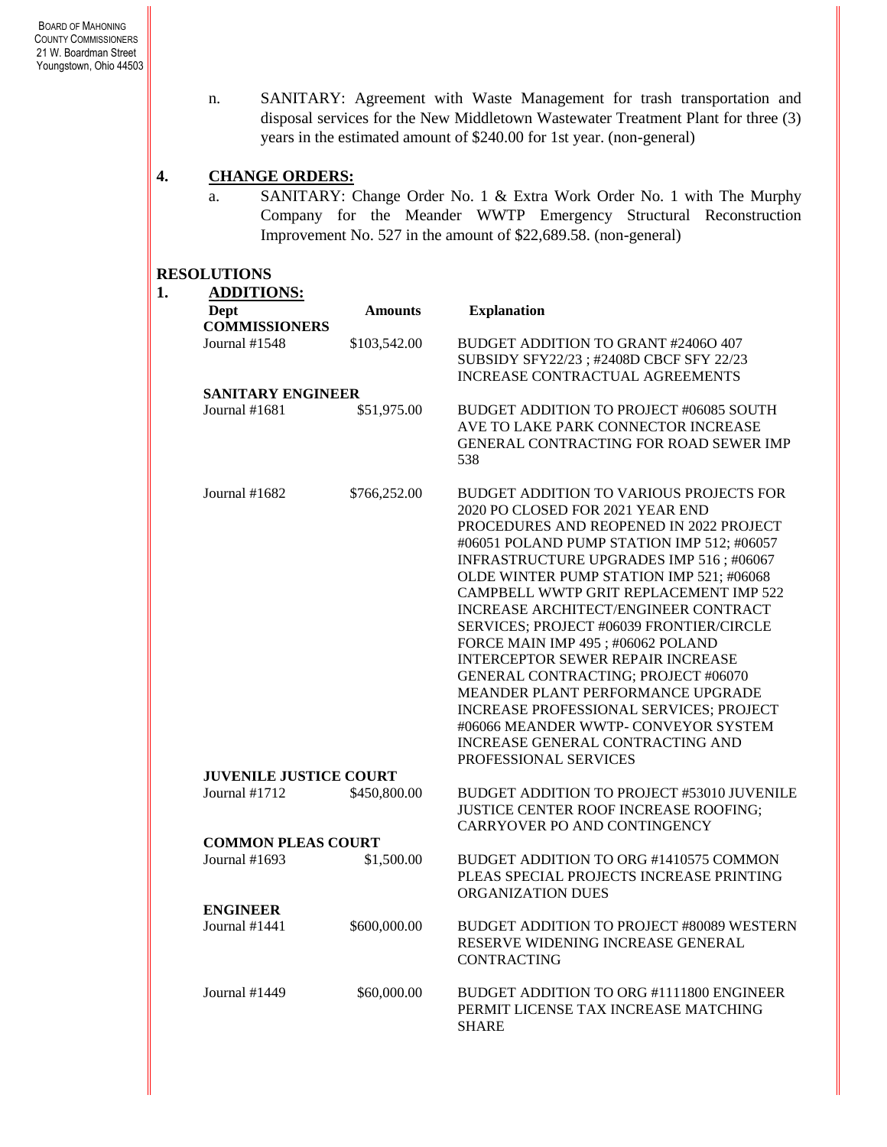n. SANITARY: Agreement with Waste Management for trash transportation and disposal services for the New Middletown Wastewater Treatment Plant for three (3) years in the estimated amount of \$240.00 for 1st year. (non-general)

# **4. CHANGE ORDERS:**

a. SANITARY: Change Order No. 1 & Extra Work Order No. 1 with The Murphy Company for the Meander WWTP Emergency Structural Reconstruction Improvement No. 527 in the amount of \$22,689.58. (non-general)

#### **RESOLUTIONS**

| <b>ADDITIONS:</b>             |                |                                                                                         |  |  |
|-------------------------------|----------------|-----------------------------------------------------------------------------------------|--|--|
| Dept                          | <b>Amounts</b> | <b>Explanation</b>                                                                      |  |  |
| <b>COMMISSIONERS</b>          |                |                                                                                         |  |  |
| Journal #1548                 | \$103,542.00   | BUDGET ADDITION TO GRANT #24060 407                                                     |  |  |
|                               |                | SUBSIDY SFY22/23; #2408D CBCF SFY 22/23<br><b>INCREASE CONTRACTUAL AGREEMENTS</b>       |  |  |
| <b>SANITARY ENGINEER</b>      |                |                                                                                         |  |  |
| Journal #1681                 | \$51,975.00    | BUDGET ADDITION TO PROJECT #06085 SOUTH                                                 |  |  |
|                               |                | AVE TO LAKE PARK CONNECTOR INCREASE                                                     |  |  |
|                               |                | GENERAL CONTRACTING FOR ROAD SEWER IMP                                                  |  |  |
|                               |                | 538                                                                                     |  |  |
|                               |                |                                                                                         |  |  |
| Journal $#1682$               | \$766,252.00   | BUDGET ADDITION TO VARIOUS PROJECTS FOR                                                 |  |  |
|                               |                | 2020 PO CLOSED FOR 2021 YEAR END                                                        |  |  |
|                               |                | PROCEDURES AND REOPENED IN 2022 PROJECT                                                 |  |  |
|                               |                | #06051 POLAND PUMP STATION IMP 512; #06057                                              |  |  |
|                               |                | INFRASTRUCTURE UPGRADES IMP 516; #06067                                                 |  |  |
|                               |                | OLDE WINTER PUMP STATION IMP 521; #06068                                                |  |  |
|                               |                | CAMPBELL WWTP GRIT REPLACEMENT IMP 522                                                  |  |  |
|                               |                | <b>INCREASE ARCHITECT/ENGINEER CONTRACT</b><br>SERVICES; PROJECT #06039 FRONTIER/CIRCLE |  |  |
|                               |                | FORCE MAIN IMP 495; #06062 POLAND                                                       |  |  |
|                               |                | <b>INTERCEPTOR SEWER REPAIR INCREASE</b>                                                |  |  |
|                               |                | GENERAL CONTRACTING; PROJECT #06070                                                     |  |  |
|                               |                | MEANDER PLANT PERFORMANCE UPGRADE                                                       |  |  |
|                               |                | <b>INCREASE PROFESSIONAL SERVICES; PROJECT</b>                                          |  |  |
|                               |                | #06066 MEANDER WWTP- CONVEYOR SYSTEM                                                    |  |  |
|                               |                | INCREASE GENERAL CONTRACTING AND                                                        |  |  |
|                               |                | PROFESSIONAL SERVICES                                                                   |  |  |
| <b>JUVENILE JUSTICE COURT</b> |                |                                                                                         |  |  |
| Journal #1712                 | \$450,800.00   | BUDGET ADDITION TO PROJECT #53010 JUVENILE                                              |  |  |
|                               |                | JUSTICE CENTER ROOF INCREASE ROOFING;                                                   |  |  |
|                               |                | CARRYOVER PO AND CONTINGENCY                                                            |  |  |
| <b>COMMON PLEAS COURT</b>     |                |                                                                                         |  |  |
| Journal #1693                 | \$1,500.00     | BUDGET ADDITION TO ORG #1410575 COMMON                                                  |  |  |
|                               |                | PLEAS SPECIAL PROJECTS INCREASE PRINTING                                                |  |  |
| <b>ENGINEER</b>               |                | ORGANIZATION DUES                                                                       |  |  |
| Journal #1441                 | \$600,000.00   | BUDGET ADDITION TO PROJECT #80089 WESTERN                                               |  |  |
|                               |                | RESERVE WIDENING INCREASE GENERAL                                                       |  |  |
|                               |                | <b>CONTRACTING</b>                                                                      |  |  |
|                               |                |                                                                                         |  |  |
| Journal #1449                 | \$60,000.00    | BUDGET ADDITION TO ORG #1111800 ENGINEER                                                |  |  |
|                               |                | PERMIT LICENSE TAX INCREASE MATCHING                                                    |  |  |
|                               |                | <b>SHARE</b>                                                                            |  |  |
|                               |                |                                                                                         |  |  |